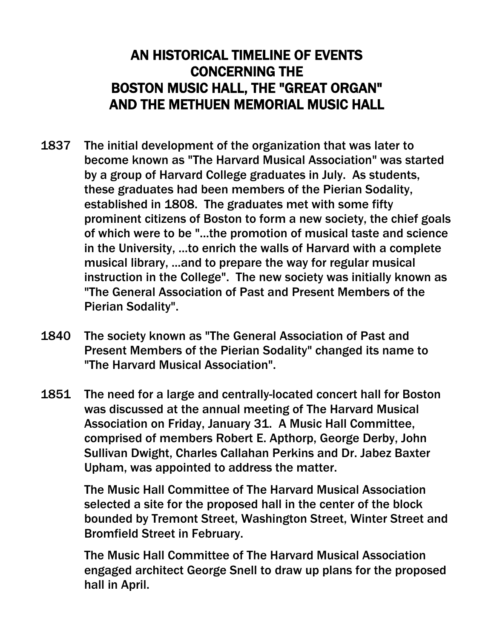## AN HISTORICAL TIMELINE OF EVENTS CONCERNING THE BOSTON MUSIC HALL, THE "GREAT ORGAN" AND THE METHUEN MEMORIAL MUSIC HALL

- 1837 The initial development of the organization that was later to become known as "The Harvard Musical Association" was started by a group of Harvard College graduates in July. As students, these graduates had been members of the Pierian Sodality, established in 1808. The graduates met with some fifty prominent citizens of Boston to form a new society, the chief goals of which were to be "...the promotion of musical taste and science in the University, ...to enrich the walls of Harvard with a complete musical library, ...and to prepare the way for regular musical instruction in the College". The new society was initially known as "The General Association of Past and Present Members of the Pierian Sodality".
- 1840 The society known as "The General Association of Past and Present Members of the Pierian Sodality" changed its name to "The Harvard Musical Association".
- 1851 The need for a large and centrally-located concert hall for Boston was discussed at the annual meeting of The Harvard Musical Association on Friday, January 31. A Music Hall Committee, comprised of members Robert E. Apthorp, George Derby, John Sullivan Dwight, Charles Callahan Perkins and Dr. Jabez Baxter Upham, was appointed to address the matter.

The Music Hall Committee of The Harvard Musical Association selected a site for the proposed hall in the center of the block bounded by Tremont Street, Washington Street, Winter Street and Bromfield Street in February.

The Music Hall Committee of The Harvard Musical Association engaged architect George Snell to draw up plans for the proposed hall in April.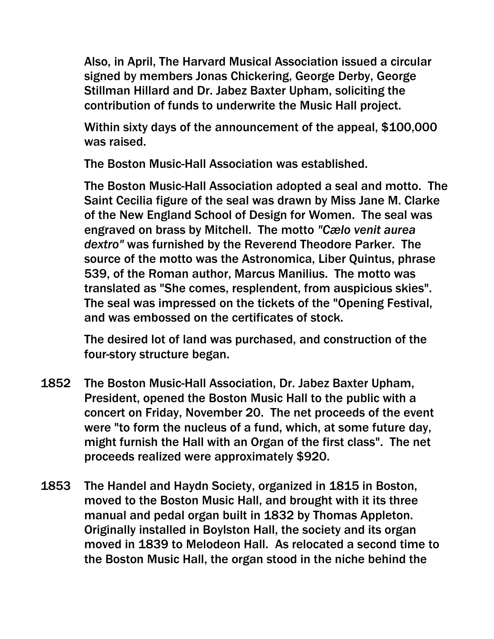Also, in April, The Harvard Musical Association issued a circular signed by members Jonas Chickering, George Derby, George Stillman Hillard and Dr. Jabez Baxter Upham, soliciting the contribution of funds to underwrite the Music Hall project.

Within sixty days of the announcement of the appeal, \$100,000 was raised.

The Boston Music-Hall Association was established.

The Boston Music-Hall Association adopted a seal and motto. The Saint Cecilia figure of the seal was drawn by Miss Jane M. Clarke of the New England School of Design for Women. The seal was engraved on brass by Mitchell. The motto *"Cælo venit aurea dextro"* was furnished by the Reverend Theodore Parker. The source of the motto was the Astronomica, Liber Quintus, phrase 539, of the Roman author, Marcus Manilius. The motto was translated as "She comes, resplendent, from auspicious skies". The seal was impressed on the tickets of the "Opening Festival, and was embossed on the certificates of stock.

The desired lot of land was purchased, and construction of the four-story structure began.

- 1852 The Boston Music-Hall Association, Dr. Jabez Baxter Upham, President, opened the Boston Music Hall to the public with a concert on Friday, November 20. The net proceeds of the event were "to form the nucleus of a fund, which, at some future day, might furnish the Hall with an Organ of the first class". The net proceeds realized were approximately \$920.
- 1853 The Handel and Haydn Society, organized in 1815 in Boston, moved to the Boston Music Hall, and brought with it its three manual and pedal organ built in 1832 by Thomas Appleton. Originally installed in Boylston Hall, the society and its organ moved in 1839 to Melodeon Hall. As relocated a second time to the Boston Music Hall, the organ stood in the niche behind the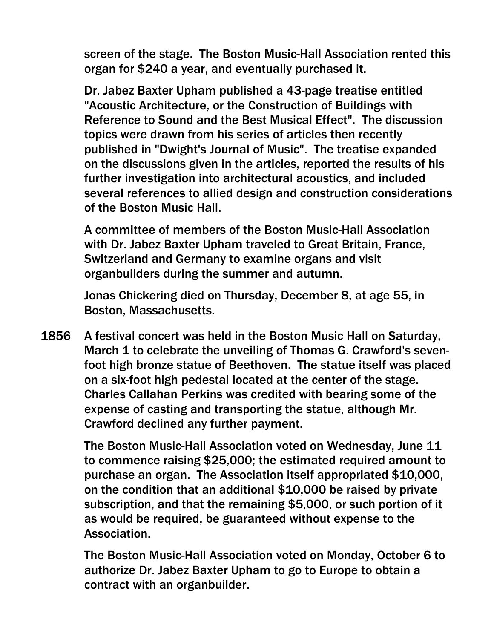screen of the stage. The Boston Music-Hall Association rented this organ for \$240 a year, and eventually purchased it.

Dr. Jabez Baxter Upham published a 43-page treatise entitled "Acoustic Architecture, or the Construction of Buildings with Reference to Sound and the Best Musical Effect". The discussion topics were drawn from his series of articles then recently published in "Dwight's Journal of Music". The treatise expanded on the discussions given in the articles, reported the results of his further investigation into architectural acoustics, and included several references to allied design and construction considerations of the Boston Music Hall.

A committee of members of the Boston Music-Hall Association with Dr. Jabez Baxter Upham traveled to Great Britain, France, Switzerland and Germany to examine organs and visit organbuilders during the summer and autumn.

Jonas Chickering died on Thursday, December 8, at age 55, in Boston, Massachusetts.

1856 A festival concert was held in the Boston Music Hall on Saturday, March 1 to celebrate the unveiling of Thomas G. Crawford's sevenfoot high bronze statue of Beethoven. The statue itself was placed on a six-foot high pedestal located at the center of the stage. Charles Callahan Perkins was credited with bearing some of the expense of casting and transporting the statue, although Mr. Crawford declined any further payment.

> The Boston Music-Hall Association voted on Wednesday, June 11 to commence raising \$25,000; the estimated required amount to purchase an organ. The Association itself appropriated \$10,000, on the condition that an additional \$10,000 be raised by private subscription, and that the remaining \$5,000, or such portion of it as would be required, be guaranteed without expense to the Association.

> The Boston Music-Hall Association voted on Monday, October 6 to authorize Dr. Jabez Baxter Upham to go to Europe to obtain a contract with an organbuilder.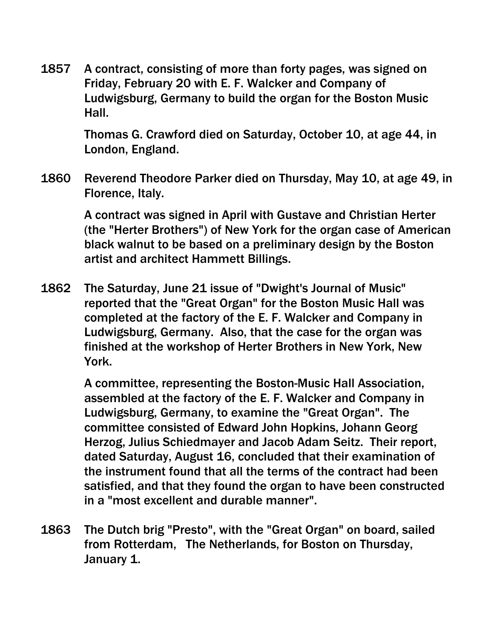1857 A contract, consisting of more than forty pages, was signed on Friday, February 20 with E. F. Walcker and Company of Ludwigsburg, Germany to build the organ for the Boston Music Hall.

> Thomas G. Crawford died on Saturday, October 10, at age 44, in London, England.

1860 Reverend Theodore Parker died on Thursday, May 10, at age 49, in Florence, Italy.

> A contract was signed in April with Gustave and Christian Herter (the "Herter Brothers") of New York for the organ case of American black walnut to be based on a preliminary design by the Boston artist and architect Hammett Billings.

1862 The Saturday, June 21 issue of "Dwight's Journal of Music" reported that the "Great Organ" for the Boston Music Hall was completed at the factory of the E. F. Walcker and Company in Ludwigsburg, Germany. Also, that the case for the organ was finished at the workshop of Herter Brothers in New York, New York.

> A committee, representing the Boston-Music Hall Association, assembled at the factory of the E. F. Walcker and Company in Ludwigsburg, Germany, to examine the "Great Organ". The committee consisted of Edward John Hopkins, Johann Georg Herzog, Julius Schiedmayer and Jacob Adam Seitz. Their report, dated Saturday, August 16, concluded that their examination of the instrument found that all the terms of the contract had been satisfied, and that they found the organ to have been constructed in a "most excellent and durable manner".

1863 The Dutch brig "Presto", with the "Great Organ" on board, sailed from Rotterdam, The Netherlands, for Boston on Thursday, January 1.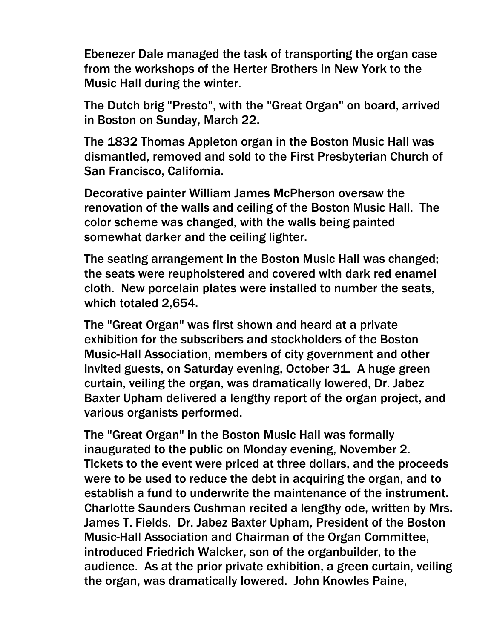Ebenezer Dale managed the task of transporting the organ case from the workshops of the Herter Brothers in New York to the Music Hall during the winter.

The Dutch brig "Presto", with the "Great Organ" on board, arrived in Boston on Sunday, March 22.

The 1832 Thomas Appleton organ in the Boston Music Hall was dismantled, removed and sold to the First Presbyterian Church of San Francisco, California.

Decorative painter William James McPherson oversaw the renovation of the walls and ceiling of the Boston Music Hall. The color scheme was changed, with the walls being painted somewhat darker and the ceiling lighter.

The seating arrangement in the Boston Music Hall was changed; the seats were reupholstered and covered with dark red enamel cloth. New porcelain plates were installed to number the seats, which totaled 2,654.

The "Great Organ" was first shown and heard at a private exhibition for the subscribers and stockholders of the Boston Music-Hall Association, members of city government and other invited guests, on Saturday evening, October 31. A huge green curtain, veiling the organ, was dramatically lowered, Dr. Jabez Baxter Upham delivered a lengthy report of the organ project, and various organists performed.

The "Great Organ" in the Boston Music Hall was formally inaugurated to the public on Monday evening, November 2. Tickets to the event were priced at three dollars, and the proceeds were to be used to reduce the debt in acquiring the organ, and to establish a fund to underwrite the maintenance of the instrument. Charlotte Saunders Cushman recited a lengthy ode, written by Mrs. James T. Fields. Dr. Jabez Baxter Upham, President of the Boston Music-Hall Association and Chairman of the Organ Committee, introduced Friedrich Walcker, son of the organbuilder, to the audience. As at the prior private exhibition, a green curtain, veiling the organ, was dramatically lowered. John Knowles Paine,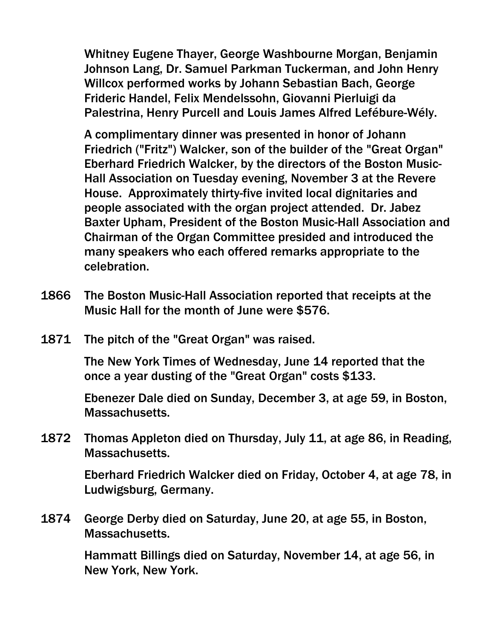Whitney Eugene Thayer, George Washbourne Morgan, Benjamin Johnson Lang, Dr. Samuel Parkman Tuckerman, and John Henry Willcox performed works by Johann Sebastian Bach, George Frideric Handel, Felix Mendelssohn, Giovanni Pierluigi da Palestrina, Henry Purcell and Louis James Alfred Lefébure-Wély.

A complimentary dinner was presented in honor of Johann Friedrich ("Fritz") Walcker, son of the builder of the "Great Organ" Eberhard Friedrich Walcker, by the directors of the Boston Music-Hall Association on Tuesday evening, November 3 at the Revere House. Approximately thirty-five invited local dignitaries and people associated with the organ project attended. Dr. Jabez Baxter Upham, President of the Boston Music-Hall Association and Chairman of the Organ Committee presided and introduced the many speakers who each offered remarks appropriate to the celebration.

- 1866 The Boston Music-Hall Association reported that receipts at the Music Hall for the month of June were \$576.
- 1871 The pitch of the "Great Organ" was raised.

The New York Times of Wednesday, June 14 reported that the once a year dusting of the "Great Organ" costs \$133.

Ebenezer Dale died on Sunday, December 3, at age 59, in Boston, Massachusetts.

1872 Thomas Appleton died on Thursday, July 11, at age 86, in Reading, Massachusetts.

> Eberhard Friedrich Walcker died on Friday, October 4, at age 78, in Ludwigsburg, Germany.

1874 George Derby died on Saturday, June 20, at age 55, in Boston, Massachusetts.

> Hammatt Billings died on Saturday, November 14, at age 56, in New York, New York.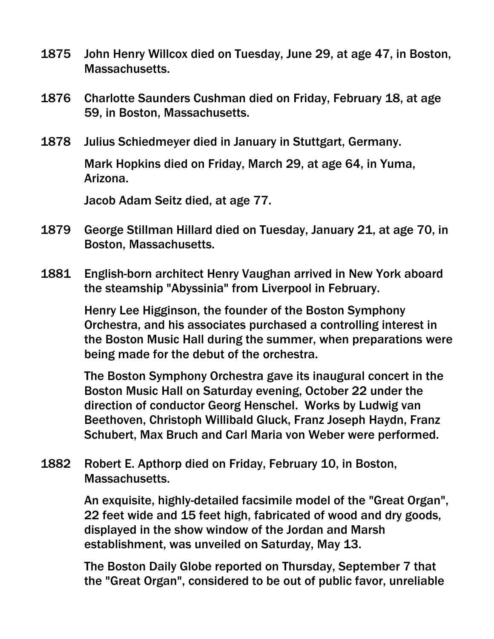- 1875 John Henry Willcox died on Tuesday, June 29, at age 47, in Boston, Massachusetts.
- 1876 Charlotte Saunders Cushman died on Friday, February 18, at age 59, in Boston, Massachusetts.
- 1878 Julius Schiedmeyer died in January in Stuttgart, Germany.

Mark Hopkins died on Friday, March 29, at age 64, in Yuma, Arizona.

Jacob Adam Seitz died, at age 77.

- 1879 George Stillman Hillard died on Tuesday, January 21, at age 70, in Boston, Massachusetts.
- 1881 English-born architect Henry Vaughan arrived in New York aboard the steamship "Abyssinia" from Liverpool in February.

Henry Lee Higginson, the founder of the Boston Symphony Orchestra, and his associates purchased a controlling interest in the Boston Music Hall during the summer, when preparations were being made for the debut of the orchestra.

The Boston Symphony Orchestra gave its inaugural concert in the Boston Music Hall on Saturday evening, October 22 under the direction of conductor Georg Henschel. Works by Ludwig van Beethoven, Christoph Willibald Gluck, Franz Joseph Haydn, Franz Schubert, Max Bruch and Carl Maria von Weber were performed.

1882 Robert E. Apthorp died on Friday, February 10, in Boston, Massachusetts.

> An exquisite, highly-detailed facsimile model of the "Great Organ", 22 feet wide and 15 feet high, fabricated of wood and dry goods, displayed in the show window of the Jordan and Marsh establishment, was unveiled on Saturday, May 13.

The Boston Daily Globe reported on Thursday, September 7 that the "Great Organ", considered to be out of public favor, unreliable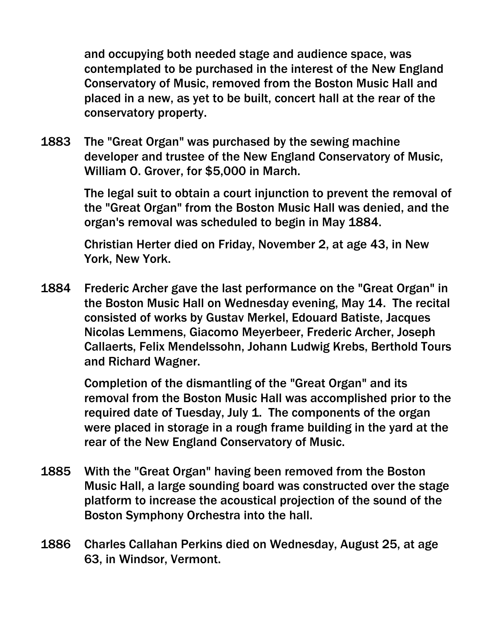and occupying both needed stage and audience space, was contemplated to be purchased in the interest of the New England Conservatory of Music, removed from the Boston Music Hall and placed in a new, as yet to be built, concert hall at the rear of the conservatory property.

1883 The "Great Organ" was purchased by the sewing machine developer and trustee of the New England Conservatory of Music, William O. Grover, for \$5,000 in March.

> The legal suit to obtain a court injunction to prevent the removal of the "Great Organ" from the Boston Music Hall was denied, and the organ's removal was scheduled to begin in May 1884.

Christian Herter died on Friday, November 2, at age 43, in New York, New York.

1884 Frederic Archer gave the last performance on the "Great Organ" in the Boston Music Hall on Wednesday evening, May 14. The recital consisted of works by Gustav Merkel, Edouard Batiste, Jacques Nicolas Lemmens, Giacomo Meyerbeer, Frederic Archer, Joseph Callaerts, Felix Mendelssohn, Johann Ludwig Krebs, Berthold Tours and Richard Wagner.

> Completion of the dismantling of the "Great Organ" and its removal from the Boston Music Hall was accomplished prior to the required date of Tuesday, July 1. The components of the organ were placed in storage in a rough frame building in the yard at the rear of the New England Conservatory of Music.

- 1885 With the "Great Organ" having been removed from the Boston Music Hall, a large sounding board was constructed over the stage platform to increase the acoustical projection of the sound of the Boston Symphony Orchestra into the hall.
- 1886 Charles Callahan Perkins died on Wednesday, August 25, at age 63, in Windsor, Vermont.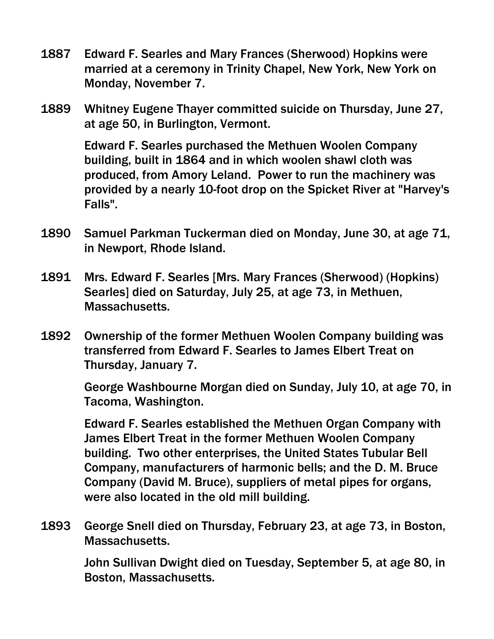- 1887 Edward F. Searles and Mary Frances (Sherwood) Hopkins were married at a ceremony in Trinity Chapel, New York, New York on Monday, November 7.
- 1889 Whitney Eugene Thayer committed suicide on Thursday, June 27, at age 50, in Burlington, Vermont.

Edward F. Searles purchased the Methuen Woolen Company building, built in 1864 and in which woolen shawl cloth was produced, from Amory Leland. Power to run the machinery was provided by a nearly 10-foot drop on the Spicket River at "Harvey's Falls".

- 1890 Samuel Parkman Tuckerman died on Monday, June 30, at age 71, in Newport, Rhode Island.
- 1891 Mrs. Edward F. Searles [Mrs. Mary Frances (Sherwood) (Hopkins) Searles] died on Saturday, July 25, at age 73, in Methuen, Massachusetts.
- 1892 Ownership of the former Methuen Woolen Company building was transferred from Edward F. Searles to James Elbert Treat on Thursday, January 7.

George Washbourne Morgan died on Sunday, July 10, at age 70, in Tacoma, Washington.

Edward F. Searles established the Methuen Organ Company with James Elbert Treat in the former Methuen Woolen Company building. Two other enterprises, the United States Tubular Bell Company, manufacturers of harmonic bells; and the D. M. Bruce Company (David M. Bruce), suppliers of metal pipes for organs, were also located in the old mill building.

1893 George Snell died on Thursday, February 23, at age 73, in Boston, Massachusetts.

> John Sullivan Dwight died on Tuesday, September 5, at age 80, in Boston, Massachusetts.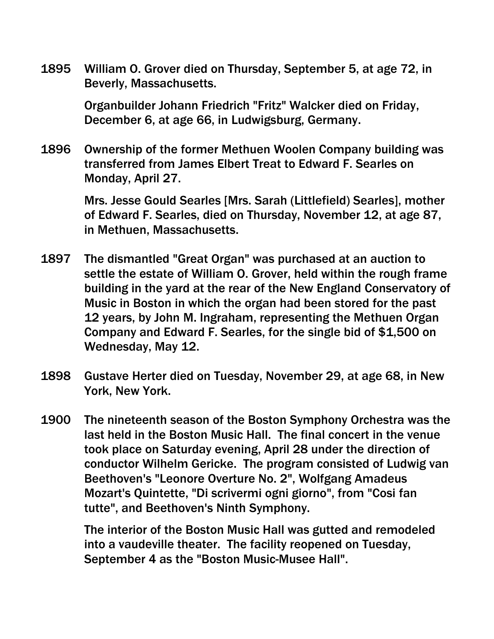1895 William O. Grover died on Thursday, September 5, at age 72, in Beverly, Massachusetts.

> Organbuilder Johann Friedrich "Fritz" Walcker died on Friday, December 6, at age 66, in Ludwigsburg, Germany.

1896 Ownership of the former Methuen Woolen Company building was transferred from James Elbert Treat to Edward F. Searles on Monday, April 27.

> Mrs. Jesse Gould Searles [Mrs. Sarah (Littlefield) Searles], mother of Edward F. Searles, died on Thursday, November 12, at age 87, in Methuen, Massachusetts.

- 1897 The dismantled "Great Organ" was purchased at an auction to settle the estate of William O. Grover, held within the rough frame building in the yard at the rear of the New England Conservatory of Music in Boston in which the organ had been stored for the past 12 years, by John M. Ingraham, representing the Methuen Organ Company and Edward F. Searles, for the single bid of \$1,500 on Wednesday, May 12.
- 1898 Gustave Herter died on Tuesday, November 29, at age 68, in New York, New York.
- 1900 The nineteenth season of the Boston Symphony Orchestra was the last held in the Boston Music Hall. The final concert in the venue took place on Saturday evening, April 28 under the direction of conductor Wilhelm Gericke. The program consisted of Ludwig van Beethoven's "Leonore Overture No. 2", Wolfgang Amadeus Mozart's Quintette, "Di scrivermi ogni giorno", from "Cosi fan tutte", and Beethoven's Ninth Symphony.

The interior of the Boston Music Hall was gutted and remodeled into a vaudeville theater. The facility reopened on Tuesday, September 4 as the "Boston Music-Musee Hall".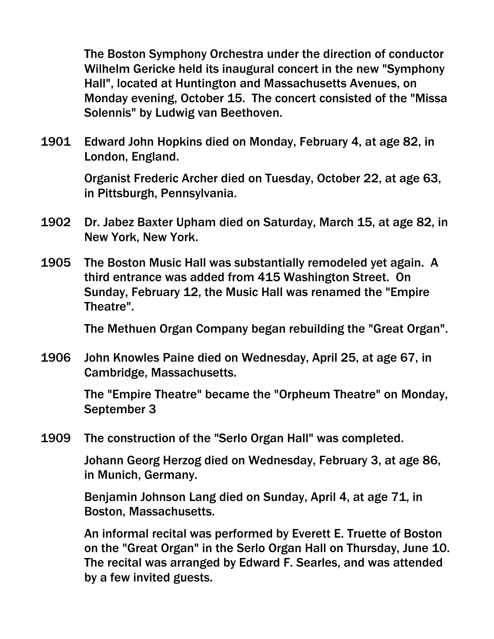The Boston Symphony Orchestra under the direction of conductor Wilhelm Gericke held its inaugural concert in the new "Symphony Hall", located at Huntington and Massachusetts Avenues, on Monday evening, October 15. The concert consisted of the "Missa Solennis" by Ludwig van Beethoven.

1901 Edward John Hopkins died on Monday, February 4, at age 82, in London, England.

> Organist Frederic Archer died on Tuesday, October 22, at age 63, in Pittsburgh, Pennsylvania.

- 1902 Dr. Jabez Baxter Upham died on Saturday, March 15, at age 82, in New York, New York.
- 1905 The Boston Music Hall was substantially remodeled yet again. A third entrance was added from 415 Washington Street. On Sunday, February 12, the Music Hall was renamed the "Empire Theatre".

The Methuen Organ Company began rebuilding the "Great Organ".

1906 John Knowles Paine died on Wednesday, April 25, at age 67, in Cambridge, Massachusetts.

> The "Empire Theatre" became the "Orpheum Theatre" on Monday, September 3

1909 The construction of the "Serlo Organ Hall" was completed.

Johann Georg Herzog died on Wednesday, February 3, at age 86, in Munich, Germany.

Benjamin Johnson Lang died on Sunday, April 4, at age 71, in Boston, Massachusetts.

An informal recital was performed by Everett E. Truette of Boston on the "Great Organ" in the Serlo Organ Hall on Thursday, June 10. The recital was arranged by Edward F. Searles, and was attended by a few invited guests.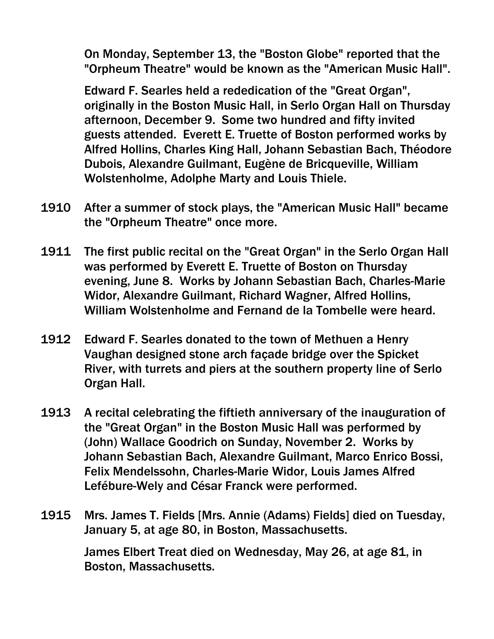On Monday, September 13, the "Boston Globe" reported that the "Orpheum Theatre" would be known as the "American Music Hall".

Edward F. Searles held a rededication of the "Great Organ", originally in the Boston Music Hall, in Serlo Organ Hall on Thursday afternoon, December 9. Some two hundred and fifty invited guests attended. Everett E. Truette of Boston performed works by Alfred Hollins, Charles King Hall, Johann Sebastian Bach, Théodore Dubois, Alexandre Guilmant, Eugène de Bricqueville, William Wolstenholme, Adolphe Marty and Louis Thiele.

- 1910 After a summer of stock plays, the "American Music Hall" became the "Orpheum Theatre" once more.
- 1911 The first public recital on the "Great Organ" in the Serlo Organ Hall was performed by Everett E. Truette of Boston on Thursday evening, June 8. Works by Johann Sebastian Bach, Charles-Marie Widor, Alexandre Guilmant, Richard Wagner, Alfred Hollins, William Wolstenholme and Fernand de la Tombelle were heard.
- 1912 Edward F. Searles donated to the town of Methuen a Henry Vaughan designed stone arch façade bridge over the Spicket River, with turrets and piers at the southern property line of Serlo Organ Hall.
- 1913 A recital celebrating the fiftieth anniversary of the inauguration of the "Great Organ" in the Boston Music Hall was performed by (John) Wallace Goodrich on Sunday, November 2. Works by Johann Sebastian Bach, Alexandre Guilmant, Marco Enrico Bossi, Felix Mendelssohn, Charles-Marie Widor, Louis James Alfred Lefébure-Wely and César Franck were performed.
- 1915 Mrs. James T. Fields [Mrs. Annie (Adams) Fields] died on Tuesday, January 5, at age 80, in Boston, Massachusetts.

James Elbert Treat died on Wednesday, May 26, at age 81, in Boston, Massachusetts.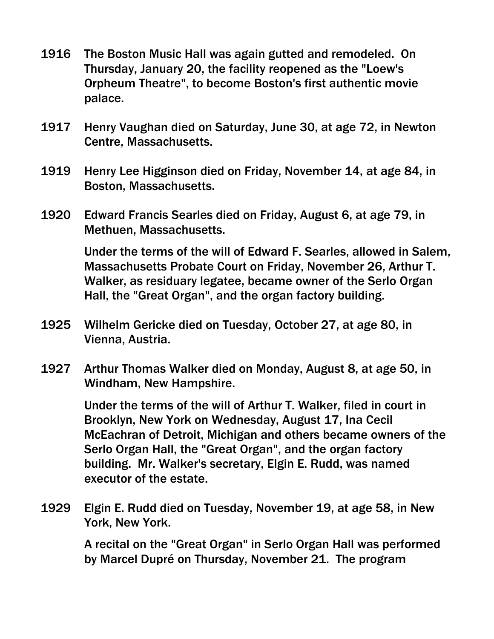- 1916 The Boston Music Hall was again gutted and remodeled. On Thursday, January 20, the facility reopened as the "Loew's Orpheum Theatre", to become Boston's first authentic movie palace.
- 1917 Henry Vaughan died on Saturday, June 30, at age 72, in Newton Centre, Massachusetts.
- 1919 Henry Lee Higginson died on Friday, November 14, at age 84, in Boston, Massachusetts.
- 1920 Edward Francis Searles died on Friday, August 6, at age 79, in Methuen, Massachusetts.

Under the terms of the will of Edward F. Searles, allowed in Salem, Massachusetts Probate Court on Friday, November 26, Arthur T. Walker, as residuary legatee, became owner of the Serlo Organ Hall, the "Great Organ", and the organ factory building.

- 1925 Wilhelm Gericke died on Tuesday, October 27, at age 80, in Vienna, Austria.
- 1927 Arthur Thomas Walker died on Monday, August 8, at age 50, in Windham, New Hampshire.

Under the terms of the will of Arthur T. Walker, filed in court in Brooklyn, New York on Wednesday, August 17, Ina Cecil McEachran of Detroit, Michigan and others became owners of the Serlo Organ Hall, the "Great Organ", and the organ factory building. Mr. Walker's secretary, Elgin E. Rudd, was named executor of the estate.

1929 Elgin E. Rudd died on Tuesday, November 19, at age 58, in New York, New York.

> A recital on the "Great Organ" in Serlo Organ Hall was performed by Marcel Dupré on Thursday, November 21. The program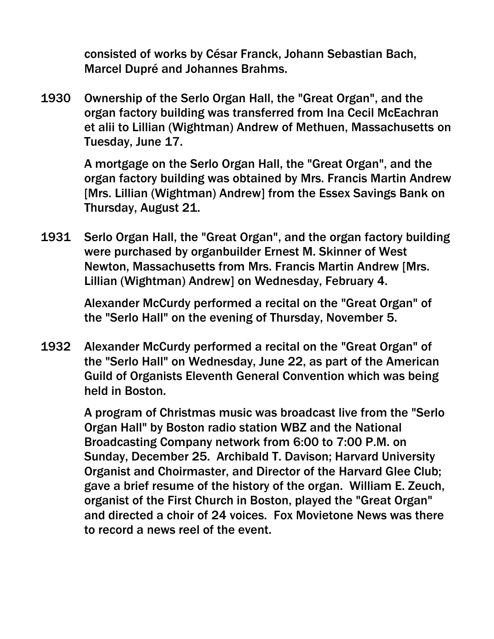consisted of works by César Franck, Johann Sebastian Bach, Marcel Dupré and Johannes Brahms.

1930 Ownership of the Serlo Organ Hall, the "Great Organ", and the organ factory building was transferred from Ina Cecil McEachran et alii to Lillian (Wightman) Andrew of Methuen, Massachusetts on Tuesday, June 17.

> A mortgage on the Serlo Organ Hall, the "Great Organ", and the organ factory building was obtained by Mrs. Francis Martin Andrew [Mrs. Lillian (Wightman) Andrew] from the Essex Savings Bank on Thursday, August 21.

1931 Serlo Organ Hall, the "Great Organ", and the organ factory building were purchased by organbuilder Ernest M. Skinner of West Newton, Massachusetts from Mrs. Francis Martin Andrew [Mrs. Lillian (Wightman) Andrew] on Wednesday, February 4.

> Alexander McCurdy performed a recital on the "Great Organ" of the "Serlo Hall" on the evening of Thursday, November 5.

1932 Alexander McCurdy performed a recital on the "Great Organ" of the "Serlo Hall" on Wednesday, June 22, as part of the American Guild of Organists Eleventh General Convention which was being held in Boston.

> A program of Christmas music was broadcast live from the "Serlo Organ Hall" by Boston radio station WBZ and the National Broadcasting Company network from 6:00 to 7:00 P.M. on Sunday, December 25. Archibald T. Davison; Harvard University Organist and Choirmaster, and Director of the Harvard Glee Club; gave a brief resume of the history of the organ. William E. Zeuch, organist of the First Church in Boston, played the "Great Organ" and directed a choir of 24 voices. Fox Movietone News was there to record a news reel of the event.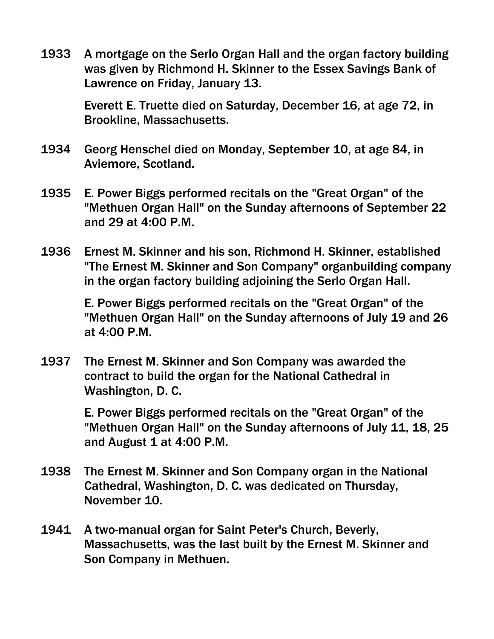1933 A mortgage on the Serlo Organ Hall and the organ factory building was given by Richmond H. Skinner to the Essex Savings Bank of Lawrence on Friday, January 13.

> Everett E. Truette died on Saturday, December 16, at age 72, in Brookline, Massachusetts.

- 1934 Georg Henschel died on Monday, September 10, at age 84, in Aviemore, Scotland.
- 1935 E. Power Biggs performed recitals on the "Great Organ" of the "Methuen Organ Hall" on the Sunday afternoons of September 22 and 29 at 4:00 P.M.
- 1936 Ernest M. Skinner and his son, Richmond H. Skinner, established "The Ernest M. Skinner and Son Company" organbuilding company in the organ factory building adjoining the Serlo Organ Hall.

E. Power Biggs performed recitals on the "Great Organ" of the "Methuen Organ Hall" on the Sunday afternoons of July 19 and 26 at 4:00 P.M.

1937 The Ernest M. Skinner and Son Company was awarded the contract to build the organ for the National Cathedral in Washington, D. C.

> E. Power Biggs performed recitals on the "Great Organ" of the "Methuen Organ Hall" on the Sunday afternoons of July 11, 18, 25 and August  $1$  at  $4:00$  P.M.

- 1938 The Ernest M. Skinner and Son Company organ in the National Cathedral, Washington, D. C. was dedicated on Thursday, November 10.
- 1941 A two-manual organ for Saint Peter's Church, Beverly, Massachusetts, was the last built by the Ernest M. Skinner and Son Company in Methuen.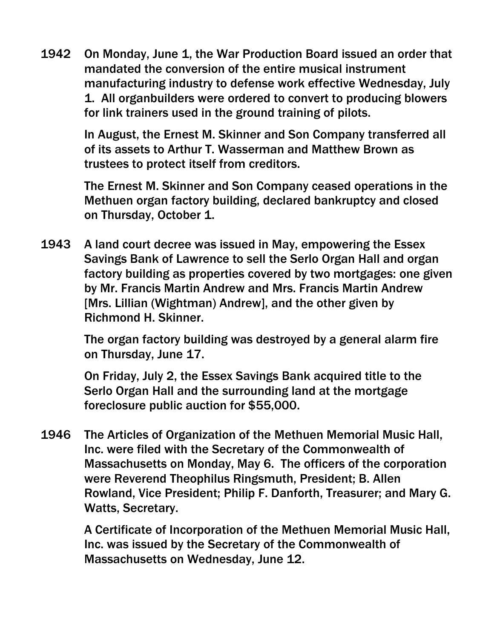1942 On Monday, June 1, the War Production Board issued an order that mandated the conversion of the entire musical instrument manufacturing industry to defense work effective Wednesday, July 1. All organbuilders were ordered to convert to producing blowers for link trainers used in the ground training of pilots.

> In August, the Ernest M. Skinner and Son Company transferred all of its assets to Arthur T. Wasserman and Matthew Brown as trustees to protect itself from creditors.

> The Ernest M. Skinner and Son Company ceased operations in the Methuen organ factory building, declared bankruptcy and closed on Thursday, October 1.

1943 A land court decree was issued in May, empowering the Essex Savings Bank of Lawrence to sell the Serlo Organ Hall and organ factory building as properties covered by two mortgages: one given by Mr. Francis Martin Andrew and Mrs. Francis Martin Andrew [Mrs. Lillian (Wightman) Andrew], and the other given by Richmond H. Skinner.

> The organ factory building was destroyed by a general alarm fire on Thursday, June 17.

On Friday, July 2, the Essex Savings Bank acquired title to the Serlo Organ Hall and the surrounding land at the mortgage foreclosure public auction for \$55,000.

1946 The Articles of Organization of the Methuen Memorial Music Hall, Inc. were filed with the Secretary of the Commonwealth of Massachusetts on Monday, May 6. The officers of the corporation were Reverend Theophilus Ringsmuth, President; B. Allen Rowland, Vice President; Philip F. Danforth, Treasurer; and Mary G. Watts, Secretary.

> A Certificate of Incorporation of the Methuen Memorial Music Hall, Inc. was issued by the Secretary of the Commonwealth of Massachusetts on Wednesday, June 12.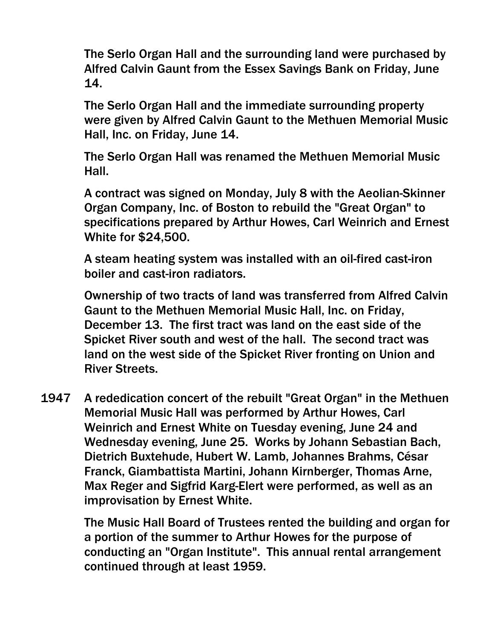The Serlo Organ Hall and the surrounding land were purchased by Alfred Calvin Gaunt from the Essex Savings Bank on Friday, June 14.

The Serlo Organ Hall and the immediate surrounding property were given by Alfred Calvin Gaunt to the Methuen Memorial Music Hall, Inc. on Friday, June 14.

The Serlo Organ Hall was renamed the Methuen Memorial Music Hall.

A contract was signed on Monday, July 8 with the Aeolian-Skinner Organ Company, Inc. of Boston to rebuild the "Great Organ" to specifications prepared by Arthur Howes, Carl Weinrich and Ernest White for \$24,500.

A steam heating system was installed with an oil-fired cast-iron boiler and cast-iron radiators.

Ownership of two tracts of land was transferred from Alfred Calvin Gaunt to the Methuen Memorial Music Hall, Inc. on Friday, December 13. The first tract was land on the east side of the Spicket River south and west of the hall. The second tract was land on the west side of the Spicket River fronting on Union and River Streets.

1947 A rededication concert of the rebuilt "Great Organ" in the Methuen Memorial Music Hall was performed by Arthur Howes, Carl Weinrich and Ernest White on Tuesday evening, June 24 and Wednesday evening, June 25. Works by Johann Sebastian Bach, Dietrich Buxtehude, Hubert W. Lamb, Johannes Brahms, César Franck, Giambattista Martini, Johann Kirnberger, Thomas Arne, Max Reger and Sigfrid Karg-Elert were performed, as well as an improvisation by Ernest White.

> The Music Hall Board of Trustees rented the building and organ for a portion of the summer to Arthur Howes for the purpose of conducting an "Organ Institute". This annual rental arrangement continued through at least 1959.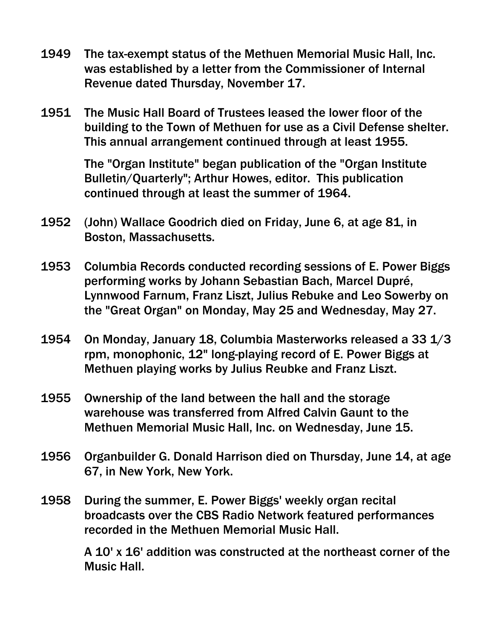- 1949 The tax-exempt status of the Methuen Memorial Music Hall, Inc. was established by a letter from the Commissioner of Internal Revenue dated Thursday, November 17.
- 1951 The Music Hall Board of Trustees leased the lower floor of the building to the Town of Methuen for use as a Civil Defense shelter. This annual arrangement continued through at least 1955.

The "Organ Institute" began publication of the "Organ Institute Bulletin/Quarterly"; Arthur Howes, editor. This publication continued through at least the summer of 1964.

- 1952 (John) Wallace Goodrich died on Friday, June 6, at age 81, in Boston, Massachusetts.
- 1953 Columbia Records conducted recording sessions of E. Power Biggs performing works by Johann Sebastian Bach, Marcel Dupré, Lynnwood Farnum, Franz Liszt, Julius Rebuke and Leo Sowerby on the "Great Organ" on Monday, May 25 and Wednesday, May 27.
- 1954 On Monday, January 18, Columbia Masterworks released a 33 1/3 rpm, monophonic, 12" long-playing record of E. Power Biggs at Methuen playing works by Julius Reubke and Franz Liszt.
- 1955 Ownership of the land between the hall and the storage warehouse was transferred from Alfred Calvin Gaunt to the Methuen Memorial Music Hall, Inc. on Wednesday, June 15.
- 1956 Organbuilder G. Donald Harrison died on Thursday, June 14, at age 67, in New York, New York.
- 1958 During the summer, E. Power Biggs' weekly organ recital broadcasts over the CBS Radio Network featured performances recorded in the Methuen Memorial Music Hall.

 A 10' x 16' addition was constructed at the northeast corner of the Music Hall.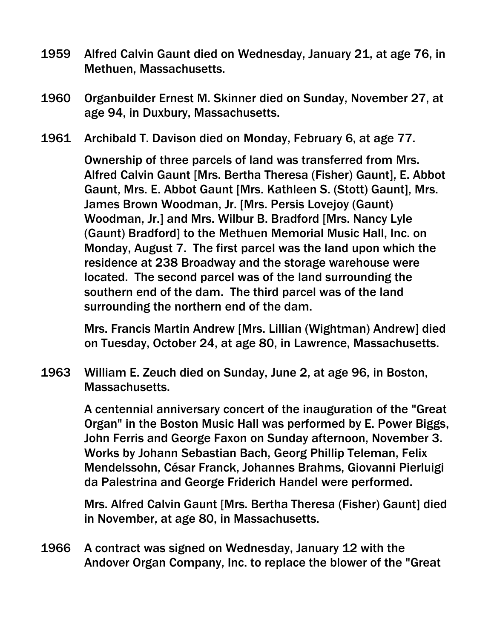- 1959 Alfred Calvin Gaunt died on Wednesday, January 21, at age 76, in Methuen, Massachusetts.
- 1960 Organbuilder Ernest M. Skinner died on Sunday, November 27, at age 94, in Duxbury, Massachusetts.
- 1961 Archibald T. Davison died on Monday, February 6, at age 77.

Ownership of three parcels of land was transferred from Mrs. Alfred Calvin Gaunt [Mrs. Bertha Theresa (Fisher) Gaunt], E. Abbot Gaunt, Mrs. E. Abbot Gaunt [Mrs. Kathleen S. (Stott) Gaunt], Mrs. James Brown Woodman, Jr. [Mrs. Persis Lovejoy (Gaunt) Woodman, Jr.] and Mrs. Wilbur B. Bradford [Mrs. Nancy Lyle (Gaunt) Bradford] to the Methuen Memorial Music Hall, Inc. on Monday, August 7. The first parcel was the land upon which the residence at 238 Broadway and the storage warehouse were located. The second parcel was of the land surrounding the southern end of the dam. The third parcel was of the land surrounding the northern end of the dam.

Mrs. Francis Martin Andrew [Mrs. Lillian (Wightman) Andrew] died on Tuesday, October 24, at age 80, in Lawrence, Massachusetts.

1963 William E. Zeuch died on Sunday, June 2, at age 96, in Boston, Massachusetts.

> A centennial anniversary concert of the inauguration of the "Great Organ" in the Boston Music Hall was performed by E. Power Biggs, John Ferris and George Faxon on Sunday afternoon, November 3. Works by Johann Sebastian Bach, Georg Phillip Teleman, Felix Mendelssohn, César Franck, Johannes Brahms, Giovanni Pierluigi da Palestrina and George Friderich Handel were performed.

> Mrs. Alfred Calvin Gaunt [Mrs. Bertha Theresa (Fisher) Gaunt] died in November, at age 80, in Massachusetts.

1966 A contract was signed on Wednesday, January 12 with the Andover Organ Company, Inc. to replace the blower of the "Great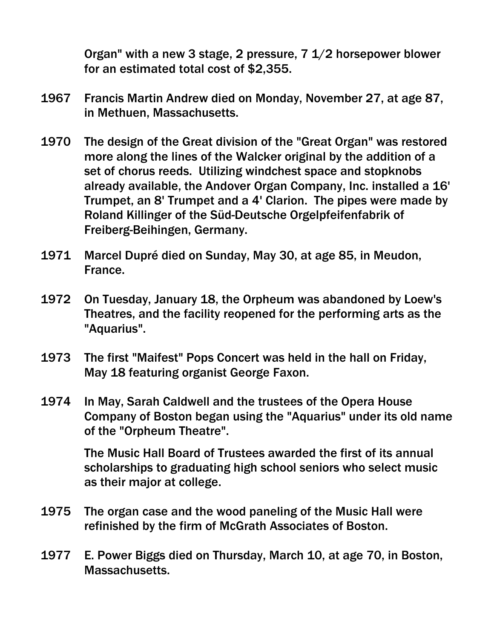Organ" with a new 3 stage, 2 pressure, 7 1/2 horsepower blower for an estimated total cost of \$2,355.

- 1967 Francis Martin Andrew died on Monday, November 27, at age 87, in Methuen, Massachusetts.
- 1970 The design of the Great division of the "Great Organ" was restored more along the lines of the Walcker original by the addition of a set of chorus reeds. Utilizing windchest space and stopknobs already available, the Andover Organ Company, Inc. installed a 16' Trumpet, an 8' Trumpet and a 4' Clarion. The pipes were made by Roland Killinger of the Süd-Deutsche Orgelpfeifenfabrik of Freiberg-Beihingen, Germany.
- 1971 Marcel Dupré died on Sunday, May 30, at age 85, in Meudon, France.
- 1972 On Tuesday, January 18, the Orpheum was abandoned by Loew's Theatres, and the facility reopened for the performing arts as the "Aquarius".
- 1973 The first "Maifest" Pops Concert was held in the hall on Friday, May 18 featuring organist George Faxon.
- 1974 In May, Sarah Caldwell and the trustees of the Opera House Company of Boston began using the "Aquarius" under its old name of the "Orpheum Theatre".

The Music Hall Board of Trustees awarded the first of its annual scholarships to graduating high school seniors who select music as their major at college.

- 1975 The organ case and the wood paneling of the Music Hall were refinished by the firm of McGrath Associates of Boston.
- 1977 E. Power Biggs died on Thursday, March 10, at age 70, in Boston, Massachusetts.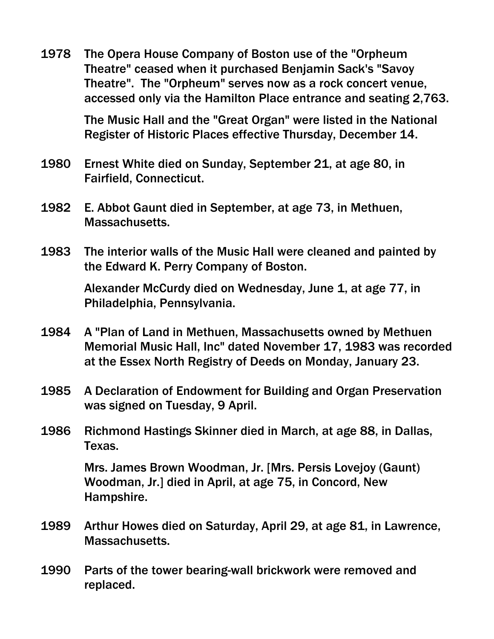1978 The Opera House Company of Boston use of the "Orpheum Theatre" ceased when it purchased Benjamin Sack's "Savoy Theatre". The "Orpheum" serves now as a rock concert venue, accessed only via the Hamilton Place entrance and seating 2,763.

> The Music Hall and the "Great Organ" were listed in the National Register of Historic Places effective Thursday, December 14.

- 1980 Ernest White died on Sunday, September 21, at age 80, in Fairfield, Connecticut.
- 1982 E. Abbot Gaunt died in September, at age 73, in Methuen, Massachusetts.
- 1983 The interior walls of the Music Hall were cleaned and painted by the Edward K. Perry Company of Boston.

Alexander McCurdy died on Wednesday, June 1, at age 77, in Philadelphia, Pennsylvania.

- 1984 A "Plan of Land in Methuen, Massachusetts owned by Methuen Memorial Music Hall, Inc" dated November 17, 1983 was recorded at the Essex North Registry of Deeds on Monday, January 23.
- 1985 A Declaration of Endowment for Building and Organ Preservation was signed on Tuesday, 9 April.
- 1986 Richmond Hastings Skinner died in March, at age 88, in Dallas, Texas.

Mrs. James Brown Woodman, Jr. [Mrs. Persis Lovejoy (Gaunt) Woodman, Jr.] died in April, at age 75, in Concord, New Hampshire.

- 1989 Arthur Howes died on Saturday, April 29, at age 81, in Lawrence, Massachusetts.
- 1990 Parts of the tower bearing-wall brickwork were removed and replaced.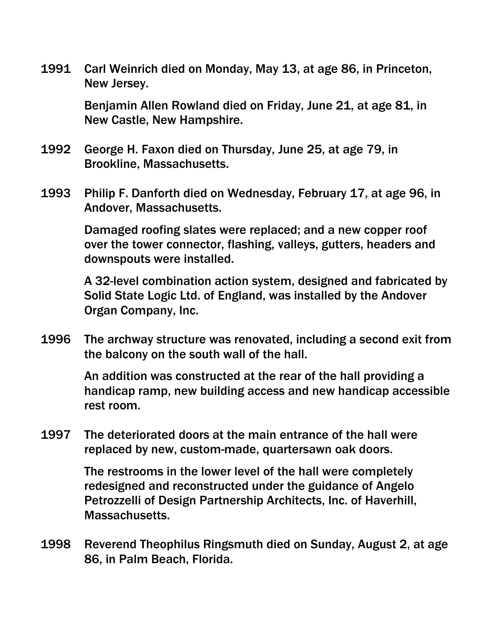1991 Carl Weinrich died on Monday, May 13, at age 86, in Princeton, New Jersey.

> Benjamin Allen Rowland died on Friday, June 21, at age 81, in New Castle, New Hampshire.

- 1992 George H. Faxon died on Thursday, June 25, at age 79, in Brookline, Massachusetts.
- 1993 Philip F. Danforth died on Wednesday, February 17, at age 96, in Andover, Massachusetts.

Damaged roofing slates were replaced; and a new copper roof over the tower connector, flashing, valleys, gutters, headers and downspouts were installed.

A 32-level combination action system, designed and fabricated by Solid State Logic Ltd. of England, was installed by the Andover Organ Company, Inc.

1996 The archway structure was renovated, including a second exit from the balcony on the south wall of the hall.

> An addition was constructed at the rear of the hall providing a handicap ramp, new building access and new handicap accessible rest room.

1997 The deteriorated doors at the main entrance of the hall were replaced by new, custom-made, quartersawn oak doors.

> The restrooms in the lower level of the hall were completely redesigned and reconstructed under the guidance of Angelo Petrozzelli of Design Partnership Architects, Inc. of Haverhill, Massachusetts.

1998 Reverend Theophilus Ringsmuth died on Sunday, August 2, at age 86, in Palm Beach, Florida.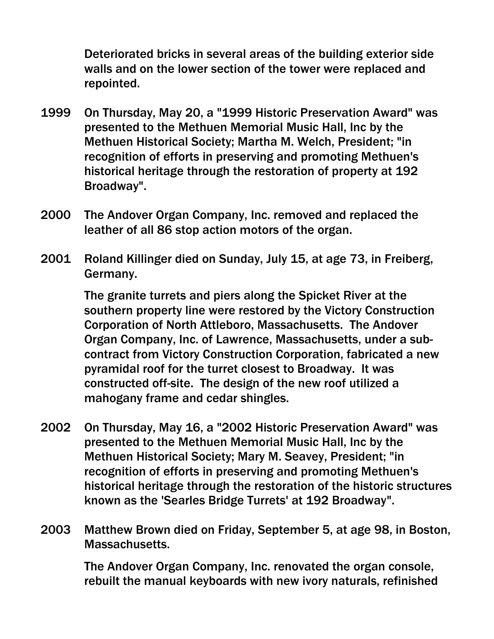Deteriorated bricks in several areas of the building exterior side walls and on the lower section of the tower were replaced and repointed.

- 1999 On Thursday, May 20, a "1999 Historic Preservation Award" was presented to the Methuen Memorial Music Hall, Inc by the Methuen Historical Society; Martha M. Welch, President; "in recognition of efforts in preserving and promoting Methuen's historical heritage through the restoration of property at 192 Broadway".
- 2000 The Andover Organ Company, Inc. removed and replaced the leather of all 86 stop action motors of the organ.
- 2001 Roland Killinger died on Sunday, July 15, at age 73, in Freiberg, Germany.

The granite turrets and piers along the Spicket River at the southern property line were restored by the Victory Construction Corporation of North Attleboro, Massachusetts. The Andover Organ Company, Inc. of Lawrence, Massachusetts, under a subcontract from Victory Construction Corporation, fabricated a new pyramidal roof for the turret closest to Broadway. It was constructed off-site. The design of the new roof utilized a mahogany frame and cedar shingles.

- 2002 On Thursday, May 16, a "2002 Historic Preservation Award" was presented to the Methuen Memorial Music Hall, Inc by the Methuen Historical Society; Mary M. Seavey, President; "in recognition of efforts in preserving and promoting Methuen's historical heritage through the restoration of the historic structures known as the 'Searles Bridge Turrets' at 192 Broadway".
- 2003 Matthew Brown died on Friday, September 5, at age 98, in Boston, Massachusetts.

The Andover Organ Company, Inc. renovated the organ console, rebuilt the manual keyboards with new ivory naturals, refinished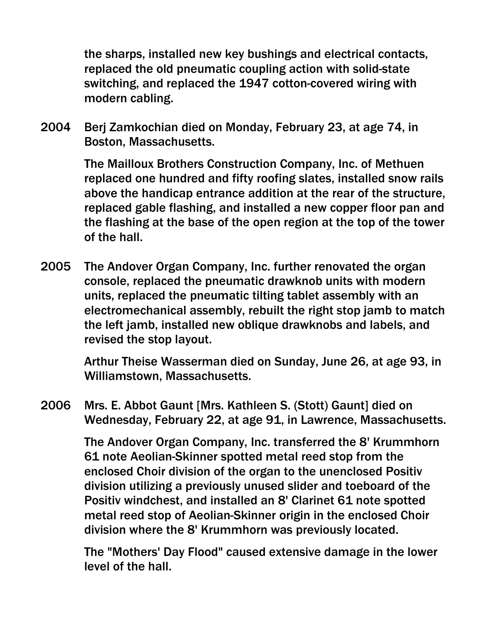the sharps, installed new key bushings and electrical contacts, replaced the old pneumatic coupling action with solid-state switching, and replaced the 1947 cotton-covered wiring with modern cabling.

2004 Berj Zamkochian died on Monday, February 23, at age 74, in Boston, Massachusetts.

> The Mailloux Brothers Construction Company, Inc. of Methuen replaced one hundred and fifty roofing slates, installed snow rails above the handicap entrance addition at the rear of the structure, replaced gable flashing, and installed a new copper floor pan and the flashing at the base of the open region at the top of the tower of the hall.

2005 The Andover Organ Company, Inc. further renovated the organ console, replaced the pneumatic drawknob units with modern units, replaced the pneumatic tilting tablet assembly with an electromechanical assembly, rebuilt the right stop jamb to match the left jamb, installed new oblique drawknobs and labels, and revised the stop layout.

> Arthur Theise Wasserman died on Sunday, June 26, at age 93, in Williamstown, Massachusetts.

2006 Mrs. E. Abbot Gaunt [Mrs. Kathleen S. (Stott) Gaunt] died on Wednesday, February 22, at age 91, in Lawrence, Massachusetts.

> The Andover Organ Company, Inc. transferred the 8' Krummhorn 61 note Aeolian-Skinner spotted metal reed stop from the enclosed Choir division of the organ to the unenclosed Positiv division utilizing a previously unused slider and toeboard of the Positiv windchest, and installed an 8' Clarinet 61 note spotted metal reed stop of Aeolian-Skinner origin in the enclosed Choir division where the 8' Krummhorn was previously located.

> The "Mothers' Day Flood" caused extensive damage in the lower level of the hall.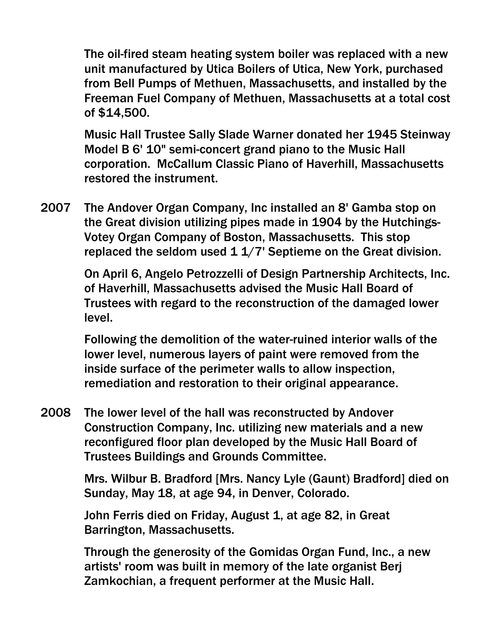The oil-fired steam heating system boiler was replaced with a new unit manufactured by Utica Boilers of Utica, New York, purchased from Bell Pumps of Methuen, Massachusetts, and installed by the Freeman Fuel Company of Methuen, Massachusetts at a total cost of \$14,500.

Music Hall Trustee Sally Slade Warner donated her 1945 Steinway Model B 6' 10" semi-concert grand piano to the Music Hall corporation. McCallum Classic Piano of Haverhill, Massachusetts restored the instrument.

2007 The Andover Organ Company, Inc installed an 8' Gamba stop on the Great division utilizing pipes made in 1904 by the Hutchings-Votey Organ Company of Boston, Massachusetts. This stop replaced the seldom used  $1\frac{1}{7}$  Septieme on the Great division.

> On April 6, Angelo Petrozzelli of Design Partnership Architects, Inc. of Haverhill, Massachusetts advised the Music Hall Board of Trustees with regard to the reconstruction of the damaged lower level.

Following the demolition of the water-ruined interior walls of the lower level, numerous layers of paint were removed from the inside surface of the perimeter walls to allow inspection, remediation and restoration to their original appearance.

2008 The lower level of the hall was reconstructed by Andover Construction Company, Inc. utilizing new materials and a new reconfigured floor plan developed by the Music Hall Board of Trustees Buildings and Grounds Committee.

> Mrs. Wilbur B. Bradford [Mrs. Nancy Lyle (Gaunt) Bradford] died on Sunday, May 18, at age 94, in Denver, Colorado.

John Ferris died on Friday, August 1, at age 82, in Great Barrington, Massachusetts.

Through the generosity of the Gomidas Organ Fund, Inc., a new artists' room was built in memory of the late organist Berj Zamkochian, a frequent performer at the Music Hall.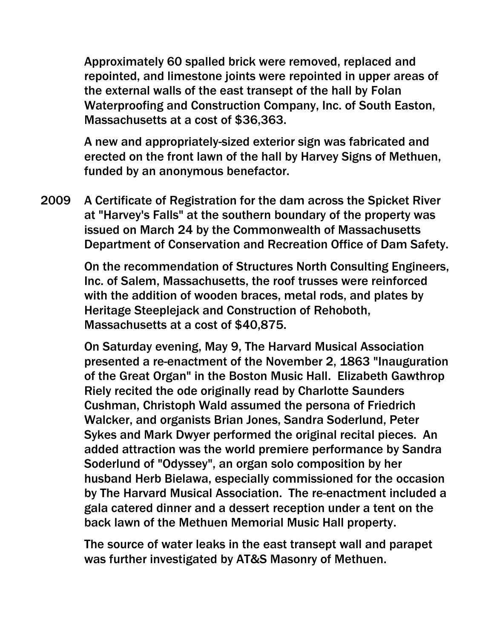Approximately 60 spalled brick were removed, replaced and repointed, and limestone joints were repointed in upper areas of the external walls of the east transept of the hall by Folan Waterproofing and Construction Company, Inc. of South Easton, Massachusetts at a cost of \$36,363.

A new and appropriately-sized exterior sign was fabricated and erected on the front lawn of the hall by Harvey Signs of Methuen, funded by an anonymous benefactor.

2009 A Certificate of Registration for the dam across the Spicket River at "Harvey's Falls" at the southern boundary of the property was issued on March 24 by the Commonwealth of Massachusetts Department of Conservation and Recreation Office of Dam Safety.

> On the recommendation of Structures North Consulting Engineers, Inc. of Salem, Massachusetts, the roof trusses were reinforced with the addition of wooden braces, metal rods, and plates by Heritage Steeplejack and Construction of Rehoboth, Massachusetts at a cost of \$40,875.

> On Saturday evening, May 9, The Harvard Musical Association presented a re-enactment of the November 2, 1863 "Inauguration of the Great Organ" in the Boston Music Hall. Elizabeth Gawthrop Riely recited the ode originally read by Charlotte Saunders Cushman, Christoph Wald assumed the persona of Friedrich Walcker, and organists Brian Jones, Sandra Soderlund, Peter Sykes and Mark Dwyer performed the original recital pieces. An added attraction was the world premiere performance by Sandra Soderlund of "Odyssey", an organ solo composition by her husband Herb Bielawa, especially commissioned for the occasion by The Harvard Musical Association. The re-enactment included a gala catered dinner and a dessert reception under a tent on the back lawn of the Methuen Memorial Music Hall property.

The source of water leaks in the east transept wall and parapet was further investigated by AT&S Masonry of Methuen.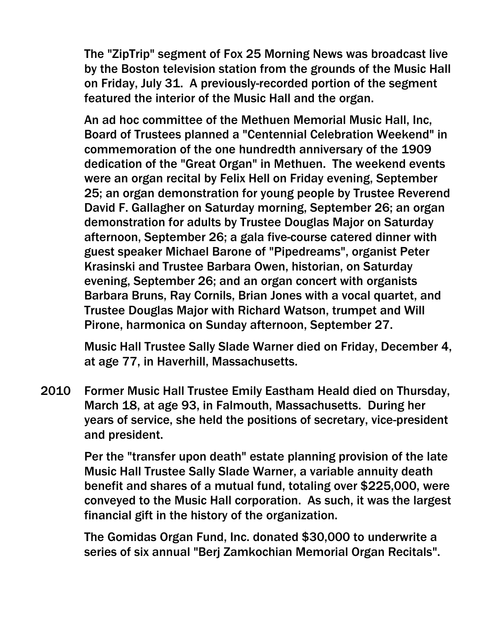The "ZipTrip" segment of Fox 25 Morning News was broadcast live by the Boston television station from the grounds of the Music Hall on Friday, July 31. A previously-recorded portion of the segment featured the interior of the Music Hall and the organ.

An ad hoc committee of the Methuen Memorial Music Hall, Inc, Board of Trustees planned a "Centennial Celebration Weekend" in commemoration of the one hundredth anniversary of the 1909 dedication of the "Great Organ" in Methuen. The weekend events were an organ recital by Felix Hell on Friday evening, September 25; an organ demonstration for young people by Trustee Reverend David F. Gallagher on Saturday morning, September 26; an organ demonstration for adults by Trustee Douglas Major on Saturday afternoon, September 26; a gala five-course catered dinner with guest speaker Michael Barone of "Pipedreams", organist Peter Krasinski and Trustee Barbara Owen, historian, on Saturday evening, September 26; and an organ concert with organists Barbara Bruns, Ray Cornils, Brian Jones with a vocal quartet, and Trustee Douglas Major with Richard Watson, trumpet and Will Pirone, harmonica on Sunday afternoon, September 27.

Music Hall Trustee Sally Slade Warner died on Friday, December 4, at age 77, in Haverhill, Massachusetts.

2010 Former Music Hall Trustee Emily Eastham Heald died on Thursday, March 18, at age 93, in Falmouth, Massachusetts. During her years of service, she held the positions of secretary, vice-president and president.

> Per the "transfer upon death" estate planning provision of the late Music Hall Trustee Sally Slade Warner, a variable annuity death benefit and shares of a mutual fund, totaling over \$225,000, were conveyed to the Music Hall corporation. As such, it was the largest financial gift in the history of the organization.

The Gomidas Organ Fund, Inc. donated \$30,000 to underwrite a series of six annual "Berj Zamkochian Memorial Organ Recitals".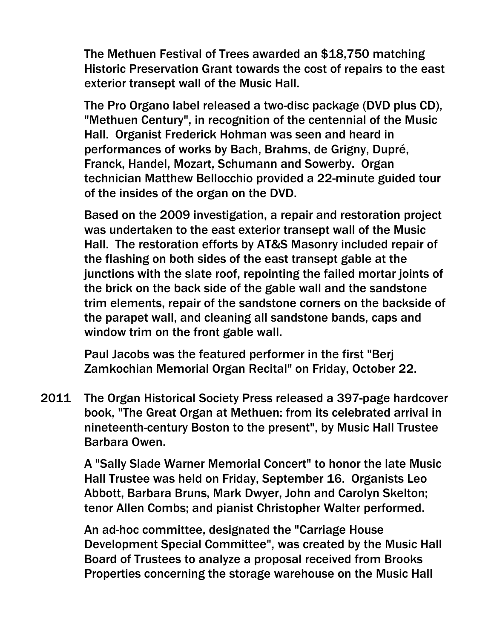The Methuen Festival of Trees awarded an \$18,750 matching Historic Preservation Grant towards the cost of repairs to the east exterior transept wall of the Music Hall.

The Pro Organo label released a two-disc package (DVD plus CD), "Methuen Century", in recognition of the centennial of the Music Hall. Organist Frederick Hohman was seen and heard in performances of works by Bach, Brahms, de Grigny, Dupré, Franck, Handel, Mozart, Schumann and Sowerby. Organ technician Matthew Bellocchio provided a 22-minute guided tour of the insides of the organ on the DVD.

Based on the 2009 investigation, a repair and restoration project was undertaken to the east exterior transept wall of the Music Hall. The restoration efforts by AT&S Masonry included repair of the flashing on both sides of the east transept gable at the junctions with the slate roof, repointing the failed mortar joints of the brick on the back side of the gable wall and the sandstone trim elements, repair of the sandstone corners on the backside of the parapet wall, and cleaning all sandstone bands, caps and window trim on the front gable wall.

Paul Jacobs was the featured performer in the first "Berj Zamkochian Memorial Organ Recital" on Friday, October 22.

2011 The Organ Historical Society Press released a 397-page hardcover book, "The Great Organ at Methuen: from its celebrated arrival in nineteenth-century Boston to the present", by Music Hall Trustee Barbara Owen.

> A "Sally Slade Warner Memorial Concert" to honor the late Music Hall Trustee was held on Friday, September 16. Organists Leo Abbott, Barbara Bruns, Mark Dwyer, John and Carolyn Skelton; tenor Allen Combs; and pianist Christopher Walter performed.

> An ad-hoc committee, designated the "Carriage House Development Special Committee", was created by the Music Hall Board of Trustees to analyze a proposal received from Brooks Properties concerning the storage warehouse on the Music Hall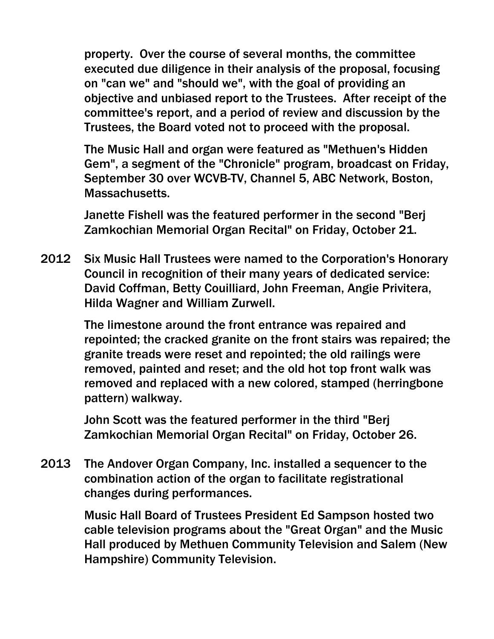property. Over the course of several months, the committee executed due diligence in their analysis of the proposal, focusing on "can we" and "should we", with the goal of providing an objective and unbiased report to the Trustees. After receipt of the committee's report, and a period of review and discussion by the Trustees, the Board voted not to proceed with the proposal.

The Music Hall and organ were featured as "Methuen's Hidden Gem", a segment of the "Chronicle" program, broadcast on Friday, September 30 over WCVB-TV, Channel 5, ABC Network, Boston, Massachusetts.

Janette Fishell was the featured performer in the second "Berj Zamkochian Memorial Organ Recital" on Friday, October 21.

2012 Six Music Hall Trustees were named to the Corporation's Honorary Council in recognition of their many years of dedicated service: David Coffman, Betty Couilliard, John Freeman, Angie Privitera, Hilda Wagner and William Zurwell.

> The limestone around the front entrance was repaired and repointed; the cracked granite on the front stairs was repaired; the granite treads were reset and repointed; the old railings were removed, painted and reset; and the old hot top front walk was removed and replaced with a new colored, stamped (herringbone pattern) walkway.

John Scott was the featured performer in the third "Berj Zamkochian Memorial Organ Recital" on Friday, October 26.

2013 The Andover Organ Company, Inc. installed a sequencer to the combination action of the organ to facilitate registrational changes during performances.

> Music Hall Board of Trustees President Ed Sampson hosted two cable television programs about the "Great Organ" and the Music Hall produced by Methuen Community Television and Salem (New Hampshire) Community Television.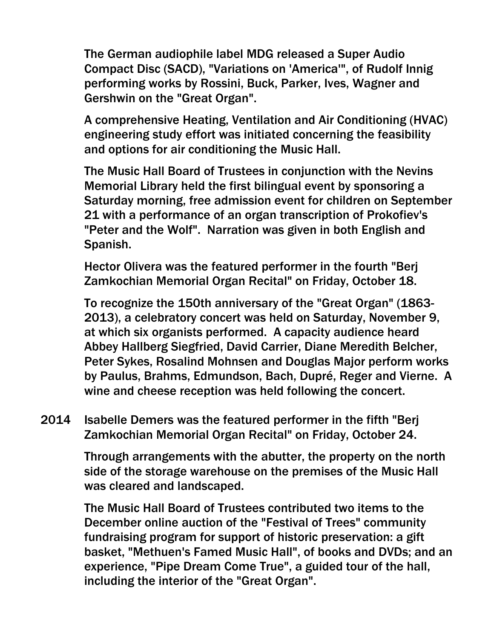The German audiophile label MDG released a Super Audio Compact Disc (SACD), "Variations on 'America'", of Rudolf Innig performing works by Rossini, Buck, Parker, Ives, Wagner and Gershwin on the "Great Organ".

A comprehensive Heating, Ventilation and Air Conditioning (HVAC) engineering study effort was initiated concerning the feasibility and options for air conditioning the Music Hall.

The Music Hall Board of Trustees in conjunction with the Nevins Memorial Library held the first bilingual event by sponsoring a Saturday morning, free admission event for children on September 21 with a performance of an organ transcription of Prokofiev's "Peter and the Wolf". Narration was given in both English and Spanish.

Hector Olivera was the featured performer in the fourth "Berj Zamkochian Memorial Organ Recital" on Friday, October 18.

To recognize the 150th anniversary of the "Great Organ" (1863- 2013), a celebratory concert was held on Saturday, November 9, at which six organists performed. A capacity audience heard Abbey Hallberg Siegfried, David Carrier, Diane Meredith Belcher, Peter Sykes, Rosalind Mohnsen and Douglas Major perform works by Paulus, Brahms, Edmundson, Bach, Dupré, Reger and Vierne. A wine and cheese reception was held following the concert.

2014 Isabelle Demers was the featured performer in the fifth "Berj Zamkochian Memorial Organ Recital" on Friday, October 24.

> Through arrangements with the abutter, the property on the north side of the storage warehouse on the premises of the Music Hall was cleared and landscaped.

The Music Hall Board of Trustees contributed two items to the December online auction of the "Festival of Trees" community fundraising program for support of historic preservation: a gift basket, "Methuen's Famed Music Hall", of books and DVDs; and an experience, "Pipe Dream Come True", a guided tour of the hall, including the interior of the "Great Organ".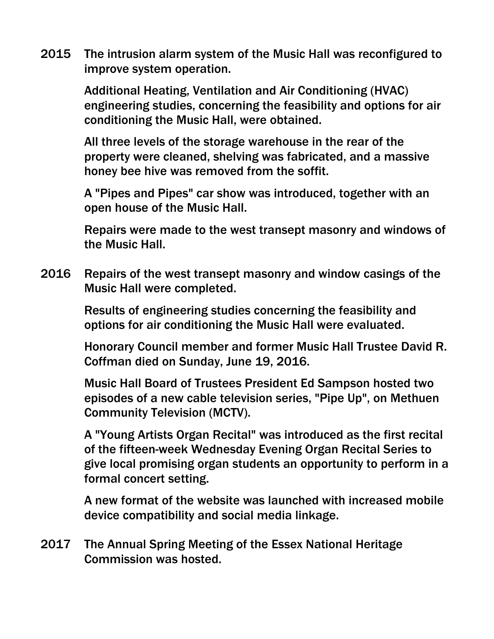2015 The intrusion alarm system of the Music Hall was reconfigured to improve system operation.

> Additional Heating, Ventilation and Air Conditioning (HVAC) engineering studies, concerning the feasibility and options for air conditioning the Music Hall, were obtained.

All three levels of the storage warehouse in the rear of the property were cleaned, shelving was fabricated, and a massive honey bee hive was removed from the soffit.

A "Pipes and Pipes" car show was introduced, together with an open house of the Music Hall.

Repairs were made to the west transept masonry and windows of the Music Hall.

2016 Repairs of the west transept masonry and window casings of the Music Hall were completed.

> Results of engineering studies concerning the feasibility and options for air conditioning the Music Hall were evaluated.

Honorary Council member and former Music Hall Trustee David R. Coffman died on Sunday, June 19, 2016.

Music Hall Board of Trustees President Ed Sampson hosted two episodes of a new cable television series, "Pipe Up", on Methuen Community Television (MCTV).

A "Young Artists Organ Recital" was introduced as the first recital of the fifteen-week Wednesday Evening Organ Recital Series to give local promising organ students an opportunity to perform in a formal concert setting.

A new format of the website was launched with increased mobile device compatibility and social media linkage.

2017 The Annual Spring Meeting of the Essex National Heritage Commission was hosted.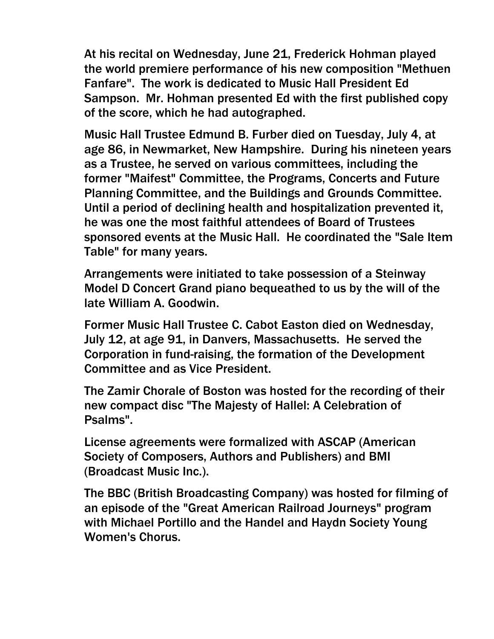At his recital on Wednesday, June 21, Frederick Hohman played the world premiere performance of his new composition "Methuen Fanfare". The work is dedicated to Music Hall President Ed Sampson. Mr. Hohman presented Ed with the first published copy of the score, which he had autographed.

Music Hall Trustee Edmund B. Furber died on Tuesday, July 4, at age 86, in Newmarket, New Hampshire. During his nineteen years as a Trustee, he served on various committees, including the former "Maifest" Committee, the Programs, Concerts and Future Planning Committee, and the Buildings and Grounds Committee. Until a period of declining health and hospitalization prevented it, he was one the most faithful attendees of Board of Trustees sponsored events at the Music Hall. He coordinated the "Sale Item Table" for many years.

Arrangements were initiated to take possession of a Steinway Model D Concert Grand piano bequeathed to us by the will of the late William A. Goodwin.

Former Music Hall Trustee C. Cabot Easton died on Wednesday, July 12, at age 91, in Danvers, Massachusetts. He served the Corporation in fund-raising, the formation of the Development Committee and as Vice President.

The Zamir Chorale of Boston was hosted for the recording of their new compact disc "The Majesty of Hallel: A Celebration of Psalms".

License agreements were formalized with ASCAP (American Society of Composers, Authors and Publishers) and BMI (Broadcast Music Inc.).

The BBC (British Broadcasting Company) was hosted for filming of an episode of the "Great American Railroad Journeys" program with Michael Portillo and the Handel and Haydn Society Young Women's Chorus.